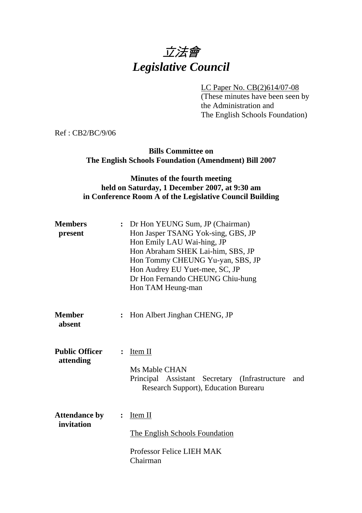# 立法會 *Legislative Council*

LC Paper No. CB(2)614/07-08

(These minutes have been seen by the Administration and The English Schools Foundation)

Ref : CB2/BC/9/06

## **Bills Committee on The English Schools Foundation (Amendment) Bill 2007**

## **Minutes of the fourth meeting held on Saturday, 1 December 2007, at 9:30 am in Conference Room A of the Legislative Council Building**

| <b>Members</b><br>present          | : Dr Hon YEUNG Sum, JP (Chairman)<br>Hon Jasper TSANG Yok-sing, GBS, JP<br>Hon Emily LAU Wai-hing, JP<br>Hon Abraham SHEK Lai-him, SBS, JP<br>Hon Tommy CHEUNG Yu-yan, SBS, JP<br>Hon Audrey EU Yuet-mee, SC, JP<br>Dr Hon Fernando CHEUNG Chiu-hung<br>Hon TAM Heung-man |
|------------------------------------|---------------------------------------------------------------------------------------------------------------------------------------------------------------------------------------------------------------------------------------------------------------------------|
| <b>Member</b><br>absent            | Hon Albert Jinghan CHENG, JP                                                                                                                                                                                                                                              |
| <b>Public Officer</b><br>attending | Item II<br>$\ddot{\cdot}$<br>Ms Mable CHAN<br>Principal Assistant Secretary (Infrastructure<br>and<br>Research Support), Education Burearu                                                                                                                                |
| <b>Attendance by</b><br>invitation | Item II<br>$\ddot{\cdot}$<br>The English Schools Foundation<br>Professor Felice LIEH MAK<br>Chairman                                                                                                                                                                      |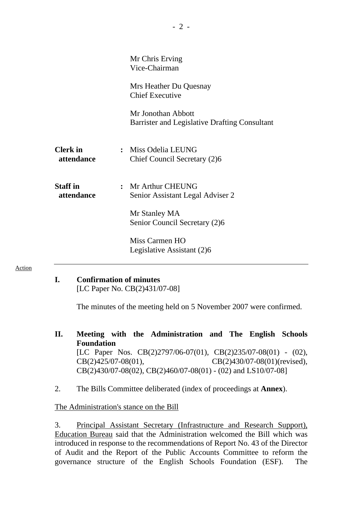|                               | Mr Chris Erving<br>Vice-Chairman                                    |
|-------------------------------|---------------------------------------------------------------------|
|                               | Mrs Heather Du Quesnay<br><b>Chief Executive</b>                    |
|                               | Mr Jonothan Abbott<br>Barrister and Legislative Drafting Consultant |
| <b>Clerk</b> in<br>attendance | : Miss Odelia LEUNG<br>Chief Council Secretary (2)6                 |
| <b>Staff</b> in<br>attendance | : Mr Arthur CHEUNG<br>Senior Assistant Legal Adviser 2              |
|                               | Mr Stanley MA<br>Senior Council Secretary (2)6                      |
|                               | Miss Carmen HO<br>Legislative Assistant (2)6                        |

Action

#### **I. Confirmation of minutes**

[LC Paper No. CB(2)431/07-08]

The minutes of the meeting held on 5 November 2007 were confirmed.

- **II. Meeting with the Administration and The English Schools Foundation**  [LC Paper Nos. CB(2)2797/06-07(01), CB(2)235/07-08(01) - (02), CB(2)425/07-08(01), CB(2)430/07-08(01)(revised), CB(2)430/07-08(02), CB(2)460/07-08(01) - (02) and LS10/07-08]
- 2. The Bills Committee deliberated (index of proceedings at **Annex**).

## The Administration's stance on the Bill

3. Principal Assistant Secretary (Infrastructure and Research Support), Education Bureau said that the Administration welcomed the Bill which was introduced in response to the recommendations of Report No. 43 of the Director of Audit and the Report of the Public Accounts Committee to reform the governance structure of the English Schools Foundation (ESF). The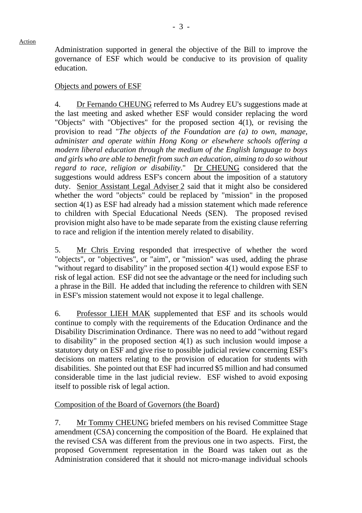Action

Administration supported in general the objective of the Bill to improve the governance of ESF which would be conducive to its provision of quality education.

#### Objects and powers of ESF

4. Dr Fernando CHEUNG referred to Ms Audrey EU's suggestions made at the last meeting and asked whether ESF would consider replacing the word "Objects" with "Objectives" for the proposed section 4(1), or revising the provision to read "*The objects of the Foundation are (a) to own, manage, administer and operate within Hong Kong or elsewhere schools offering a modern liberal education through the medium of the English language to boys and girls who are able to benefit from such an education, aiming to do so without regard to race, religion or disability*." Dr CHEUNG considered that the suggestions would address ESF's concern about the imposition of a statutory duty. Senior Assistant Legal Adviser 2 said that it might also be considered whether the word "objects" could be replaced by "mission" in the proposed section 4(1) as ESF had already had a mission statement which made reference to children with Special Educational Needs (SEN). The proposed revised provision might also have to be made separate from the existing clause referring to race and religion if the intention merely related to disability.

5. Mr Chris Erving responded that irrespective of whether the word "objects", or "objectives", or "aim", or "mission" was used, adding the phrase "without regard to disability" in the proposed section 4(1) would expose ESF to risk of legal action. ESF did not see the advantage or the need for including such a phrase in the Bill. He added that including the reference to children with SEN in ESF's mission statement would not expose it to legal challenge.

6. Professor LIEH MAK supplemented that ESF and its schools would continue to comply with the requirements of the Education Ordinance and the Disability Discrimination Ordinance. There was no need to add "without regard to disability" in the proposed section 4(1) as such inclusion would impose a statutory duty on ESF and give rise to possible judicial review concerning ESF's decisions on matters relating to the provision of education for students with disabilities. She pointed out that ESF had incurred \$5 million and had consumed considerable time in the last judicial review. ESF wished to avoid exposing itself to possible risk of legal action.

## Composition of the Board of Governors (the Board)

7. Mr Tommy CHEUNG briefed members on his revised Committee Stage amendment (CSA) concerning the composition of the Board. He explained that the revised CSA was different from the previous one in two aspects. First, the proposed Government representation in the Board was taken out as the Administration considered that it should not micro-manage individual schools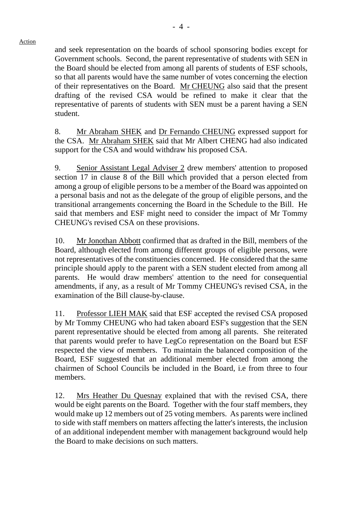and seek representation on the boards of school sponsoring bodies except for Government schools. Second, the parent representative of students with SEN in the Board should be elected from among all parents of students of ESF schools, so that all parents would have the same number of votes concerning the election of their representatives on the Board. Mr CHEUNG also said that the present drafting of the revised CSA would be refined to make it clear that the representative of parents of students with SEN must be a parent having a SEN student.

8. Mr Abraham SHEK and Dr Fernando CHEUNG expressed support for the CSA. Mr Abraham SHEK said that Mr Albert CHENG had also indicated support for the CSA and would withdraw his proposed CSA.

9. Senior Assistant Legal Adviser 2 drew members' attention to proposed section 17 in clause 8 of the Bill which provided that a person elected from among a group of eligible persons to be a member of the Board was appointed on a personal basis and not as the delegate of the group of eligible persons, and the transitional arrangements concerning the Board in the Schedule to the Bill. He said that members and ESF might need to consider the impact of Mr Tommy CHEUNG's revised CSA on these provisions.

10. Mr Jonothan Abbott confirmed that as drafted in the Bill, members of the Board, although elected from among different groups of eligible persons, were not representatives of the constituencies concerned. He considered that the same principle should apply to the parent with a SEN student elected from among all parents. He would draw members' attention to the need for consequential amendments, if any, as a result of Mr Tommy CHEUNG's revised CSA, in the examination of the Bill clause-by-clause.

11. Professor LIEH MAK said that ESF accepted the revised CSA proposed by Mr Tommy CHEUNG who had taken aboard ESF's suggestion that the SEN parent representative should be elected from among all parents. She reiterated that parents would prefer to have LegCo representation on the Board but ESF respected the view of members. To maintain the balanced composition of the Board, ESF suggested that an additional member elected from among the chairmen of School Councils be included in the Board, i.e from three to four members.

12. Mrs Heather Du Quesnay explained that with the revised CSA, there would be eight parents on the Board. Together with the four staff members, they would make up 12 members out of 25 voting members. As parents were inclined to side with staff members on matters affecting the latter's interests, the inclusion of an additional independent member with management background would help the Board to make decisions on such matters.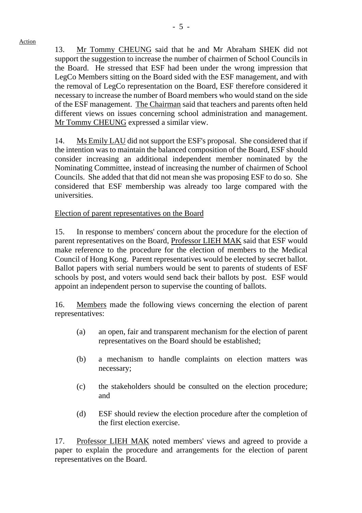Action

13. Mr Tommy CHEUNG said that he and Mr Abraham SHEK did not support the suggestion to increase the number of chairmen of School Councils in the Board. He stressed that ESF had been under the wrong impression that LegCo Members sitting on the Board sided with the ESF management, and with the removal of LegCo representation on the Board, ESF therefore considered it necessary to increase the number of Board members who would stand on the side of the ESF management. The Chairman said that teachers and parents often held different views on issues concerning school administration and management.

14. Ms Emily LAU did not support the ESF's proposal. She considered that if the intention was to maintain the balanced composition of the Board, ESF should consider increasing an additional independent member nominated by the Nominating Committee, instead of increasing the number of chairmen of School Councils. She added that that did not mean she was proposing ESF to do so. She considered that ESF membership was already too large compared with the universities.

Election of parent representatives on the Board

Mr Tommy CHEUNG expressed a similar view.

15. In response to members' concern about the procedure for the election of parent representatives on the Board, Professor LIEH MAK said that ESF would make reference to the procedure for the election of members to the Medical Council of Hong Kong. Parent representatives would be elected by secret ballot. Ballot papers with serial numbers would be sent to parents of students of ESF schools by post, and voters would send back their ballots by post. ESF would appoint an independent person to supervise the counting of ballots.

16. Members made the following views concerning the election of parent representatives:

- (a) an open, fair and transparent mechanism for the election of parent representatives on the Board should be established;
- (b) a mechanism to handle complaints on election matters was necessary;
- (c) the stakeholders should be consulted on the election procedure; and
- (d) ESF should review the election procedure after the completion of the first election exercise.

17. Professor LIEH MAK noted members' views and agreed to provide a paper to explain the procedure and arrangements for the election of parent representatives on the Board.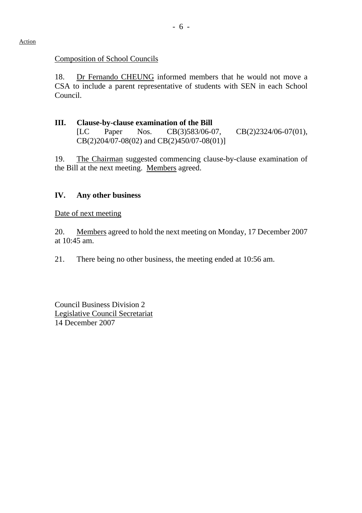#### Composition of School Councils

18. Dr Fernando CHEUNG informed members that he would not move a CSA to include a parent representative of students with SEN in each School Council.

## **III. Clause-by-clause examination of the Bill**

[LC Paper Nos. CB(3)583/06-07, CB(2)2324/06-07(01), CB(2)204/07-08(02) and CB(2)450/07-08(01)]

19. The Chairman suggested commencing clause-by-clause examination of the Bill at the next meeting. Members agreed.

## **IV. Any other business**

#### Date of next meeting

20. Members agreed to hold the next meeting on Monday, 17 December 2007 at 10:45 am.

21. There being no other business, the meeting ended at 10:56 am.

Council Business Division 2 Legislative Council Secretariat 14 December 2007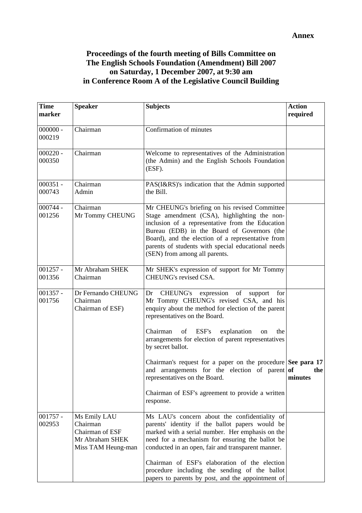## **Proceedings of the fourth meeting of Bills Committee on The English Schools Foundation (Amendment) Bill 2007 on Saturday, 1 December 2007, at 9:30 am in Conference Room A of the Legislative Council Building**

| <b>Time</b><br>marker | <b>Speaker</b>                                                                       | <b>Subjects</b>                                                                                                                                                                                                                                                                                                                              | <b>Action</b><br>required |
|-----------------------|--------------------------------------------------------------------------------------|----------------------------------------------------------------------------------------------------------------------------------------------------------------------------------------------------------------------------------------------------------------------------------------------------------------------------------------------|---------------------------|
| $000000 -$<br>000219  | Chairman                                                                             | Confirmation of minutes                                                                                                                                                                                                                                                                                                                      |                           |
| $000220 -$<br>000350  | Chairman                                                                             | Welcome to representatives of the Administration<br>(the Admin) and the English Schools Foundation<br>(ESF).                                                                                                                                                                                                                                 |                           |
| $000351 -$<br>000743  | Chairman<br>Admin                                                                    | PAS(I&RS)'s indication that the Admin supported<br>the Bill.                                                                                                                                                                                                                                                                                 |                           |
| $000744 -$<br>001256  | Chairman<br>Mr Tommy CHEUNG                                                          | Mr CHEUNG's briefing on his revised Committee<br>Stage amendment (CSA), highlighting the non-<br>inclusion of a representative from the Education<br>Bureau (EDB) in the Board of Governors (the<br>Board), and the election of a representative from<br>parents of students with special educational needs<br>(SEN) from among all parents. |                           |
| $001257 -$<br>001356  | Mr Abraham SHEK<br>Chairman                                                          | Mr SHEK's expression of support for Mr Tommy<br>CHEUNG's revised CSA.                                                                                                                                                                                                                                                                        |                           |
| $001357 -$<br>001756  | Dr Fernando CHEUNG<br>Chairman<br>Chairman of ESF)                                   | Dr CHEUNG's expression of<br>support<br>for<br>Mr Tommy CHEUNG's revised CSA, and his<br>enquiry about the method for election of the parent<br>representatives on the Board.                                                                                                                                                                |                           |
|                       |                                                                                      | Chairman<br>ESF's<br>explanation<br>of<br>the<br>on<br>arrangements for election of parent representatives<br>by secret ballot.                                                                                                                                                                                                              |                           |
|                       |                                                                                      | Chairman's request for a paper on the procedure See para 17<br>and arrangements for the election of parent of<br>representatives on the Board.                                                                                                                                                                                               | the<br>minutes            |
|                       |                                                                                      | Chairman of ESF's agreement to provide a written<br>response.                                                                                                                                                                                                                                                                                |                           |
| $001757 -$<br>002953  | Ms Emily LAU<br>Chairman<br>Chairman of ESF<br>Mr Abraham SHEK<br>Miss TAM Heung-man | Ms LAU's concern about the confidentiality of<br>parents' identity if the ballot papers would be<br>marked with a serial number. Her emphasis on the<br>need for a mechanism for ensuring the ballot be<br>conducted in an open, fair and transparent manner.                                                                                |                           |
|                       |                                                                                      | Chairman of ESF's elaboration of the election<br>procedure including the sending of the ballot<br>papers to parents by post, and the appointment of                                                                                                                                                                                          |                           |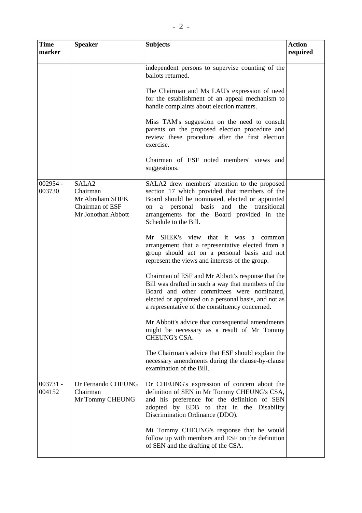| <b>Time</b><br>marker | <b>Speaker</b>                                                                            | <b>Subjects</b>                                                                                                                                                                                                                                                                        | <b>Action</b><br>required |
|-----------------------|-------------------------------------------------------------------------------------------|----------------------------------------------------------------------------------------------------------------------------------------------------------------------------------------------------------------------------------------------------------------------------------------|---------------------------|
|                       |                                                                                           | independent persons to supervise counting of the<br>ballots returned.<br>The Chairman and Ms LAU's expression of need<br>for the establishment of an appeal mechanism to<br>handle complaints about election matters.                                                                  |                           |
|                       |                                                                                           | Miss TAM's suggestion on the need to consult<br>parents on the proposed election procedure and<br>review these procedure after the first election<br>exercise.                                                                                                                         |                           |
|                       |                                                                                           | Chairman of ESF noted members' views and<br>suggestions.                                                                                                                                                                                                                               |                           |
| $002954 -$<br>003730  | SALA <sub>2</sub><br>Chairman<br>Mr Abraham SHEK<br>Chairman of ESF<br>Mr Jonothan Abbott | SALA2 drew members' attention to the proposed<br>section 17 which provided that members of the<br>Board should be nominated, elected or appointed<br>personal<br>basis<br>and<br>the<br>transitional<br>a<br>on<br>arrangements for the Board provided in the<br>Schedule to the Bill. |                           |
|                       |                                                                                           | Mr SHEK's view that it was a common<br>arrangement that a representative elected from a<br>group should act on a personal basis and not<br>represent the views and interests of the group.                                                                                             |                           |
|                       |                                                                                           | Chairman of ESF and Mr Abbott's response that the<br>Bill was drafted in such a way that members of the<br>Board and other committees were nominated,<br>elected or appointed on a personal basis, and not as<br>a representative of the constituency concerned.                       |                           |
|                       |                                                                                           | Mr Abbott's advice that consequential amendments<br>might be necessary as a result of Mr Tommy<br><b>CHEUNG's CSA.</b>                                                                                                                                                                 |                           |
|                       |                                                                                           | The Chairman's advice that ESF should explain the<br>necessary amendments during the clause-by-clause<br>examination of the Bill.                                                                                                                                                      |                           |
| 003731 -<br>004152    | Dr Fernando CHEUNG<br>Chairman<br>Mr Tommy CHEUNG                                         | Dr CHEUNG's expression of concern about the<br>definition of SEN in Mr Tommy CHEUNG's CSA,<br>and his preference for the definition of SEN<br>adopted by EDB to that in the Disability<br>Discrimination Ordinance (DDO).                                                              |                           |
|                       |                                                                                           | Mt Tommy CHEUNG's response that he would<br>follow up with members and ESF on the definition<br>of SEN and the drafting of the CSA.                                                                                                                                                    |                           |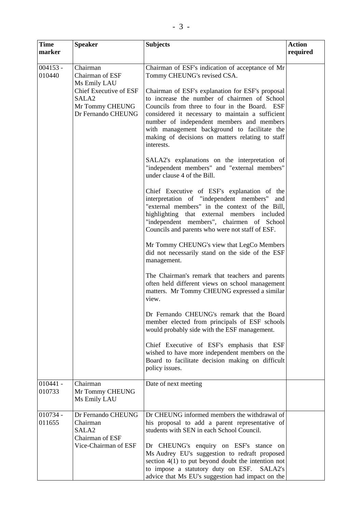| <b>Time</b><br>marker | <b>Speaker</b>                                                                                                                             | <b>Subjects</b>                                                                                                                                                                                                                                                                                                                                                                                                                                                                                                                                                                                                                                                                                                                                                                                                                                                                                                                                                                                                                                                                                                                                                                                                                                                                                                                                                       | <b>Action</b><br>required |
|-----------------------|--------------------------------------------------------------------------------------------------------------------------------------------|-----------------------------------------------------------------------------------------------------------------------------------------------------------------------------------------------------------------------------------------------------------------------------------------------------------------------------------------------------------------------------------------------------------------------------------------------------------------------------------------------------------------------------------------------------------------------------------------------------------------------------------------------------------------------------------------------------------------------------------------------------------------------------------------------------------------------------------------------------------------------------------------------------------------------------------------------------------------------------------------------------------------------------------------------------------------------------------------------------------------------------------------------------------------------------------------------------------------------------------------------------------------------------------------------------------------------------------------------------------------------|---------------------------|
| $004153 -$<br>010440  | Chairman<br>Chairman of ESF<br>Ms Emily LAU<br><b>Chief Executive of ESF</b><br>SALA <sub>2</sub><br>Mr Tommy CHEUNG<br>Dr Fernando CHEUNG | Chairman of ESF's indication of acceptance of Mr<br>Tommy CHEUNG's revised CSA.<br>Chairman of ESF's explanation for ESF's proposal<br>to increase the number of chairmen of School<br>Councils from three to four in the Board. ESF<br>considered it necessary to maintain a sufficient<br>number of independent members and members<br>with management background to facilitate the<br>making of decisions on matters relating to staff<br>interests.<br>SALA2's explanations on the interpretation of<br>"independent members" and "external members"<br>under clause 4 of the Bill.<br>Chief Executive of ESF's explanation of the<br>interpretation of "independent members"<br>and<br>"external members" in the context of the Bill,<br>highlighting that external members included<br>"independent members", chairmen of School<br>Councils and parents who were not staff of ESF.<br>Mr Tommy CHEUNG's view that LegCo Members<br>did not necessarily stand on the side of the ESF<br>management.<br>The Chairman's remark that teachers and parents<br>often held different views on school management<br>matters. Mr Tommy CHEUNG expressed a similar<br>view.<br>Dr Fernando CHEUNG's remark that the Board<br>member elected from principals of ESF schools<br>would probably side with the ESF management.<br>Chief Executive of ESF's emphasis that ESF |                           |
|                       |                                                                                                                                            | wished to have more independent members on the<br>Board to facilitate decision making on difficult<br>policy issues.                                                                                                                                                                                                                                                                                                                                                                                                                                                                                                                                                                                                                                                                                                                                                                                                                                                                                                                                                                                                                                                                                                                                                                                                                                                  |                           |
| $010441 -$<br>010733  | Chairman<br>Mr Tommy CHEUNG<br>Ms Emily LAU                                                                                                | Date of next meeting                                                                                                                                                                                                                                                                                                                                                                                                                                                                                                                                                                                                                                                                                                                                                                                                                                                                                                                                                                                                                                                                                                                                                                                                                                                                                                                                                  |                           |
| 010734 -<br>011655    | Dr Fernando CHEUNG<br>Chairman<br>SALA <sub>2</sub><br>Chairman of ESF<br>Vice-Chairman of ESF                                             | Dr CHEUNG informed members the withdrawal of<br>his proposal to add a parent representative of<br>students with SEN in each School Council.<br>Dr CHEUNG's enquiry on ESF's stance on<br>Ms Audrey EU's suggestion to redraft proposed<br>section $4(1)$ to put beyond doubt the intention not<br>to impose a statutory duty on ESF.<br>SALA2's<br>advice that Ms EU's suggestion had impact on the                                                                                                                                                                                                                                                                                                                                                                                                                                                                                                                                                                                                                                                                                                                                                                                                                                                                                                                                                                   |                           |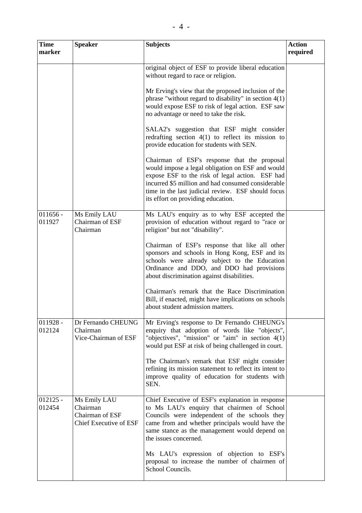| <b>Time</b><br>marker | <b>Speaker</b>                                                        | <b>Subjects</b>                                                                                                                                                                                                                                                                                       | <b>Action</b><br>required |
|-----------------------|-----------------------------------------------------------------------|-------------------------------------------------------------------------------------------------------------------------------------------------------------------------------------------------------------------------------------------------------------------------------------------------------|---------------------------|
|                       |                                                                       | original object of ESF to provide liberal education<br>without regard to race or religion.                                                                                                                                                                                                            |                           |
|                       |                                                                       | Mr Erving's view that the proposed inclusion of the<br>phrase "without regard to disability" in section $4(1)$<br>would expose ESF to risk of legal action. ESF saw<br>no advantage or need to take the risk.                                                                                         |                           |
|                       |                                                                       | SALA2's suggestion that ESF might consider<br>redrafting section $4(1)$ to reflect its mission to<br>provide education for students with SEN.                                                                                                                                                         |                           |
|                       |                                                                       | Chairman of ESF's response that the proposal<br>would impose a legal obligation on ESF and would<br>expose ESF to the risk of legal action. ESF had<br>incurred \$5 million and had consumed considerable<br>time in the last judicial review. ESF should focus<br>its effort on providing education. |                           |
| $011656 -$<br>011927  | Ms Emily LAU<br>Chairman of ESF<br>Chairman                           | Ms LAU's enquiry as to why ESF accepted the<br>provision of education without regard to "race or<br>religion" but not "disability".                                                                                                                                                                   |                           |
|                       |                                                                       | Chairman of ESF's response that like all other<br>sponsors and schools in Hong Kong, ESF and its<br>schools were already subject to the Education<br>Ordinance and DDO, and DDO had provisions<br>about discrimination against disabilities.                                                          |                           |
|                       |                                                                       | Chairman's remark that the Race Discrimination<br>Bill, if enacted, might have implications on schools<br>about student admission matters.                                                                                                                                                            |                           |
| $011928 -$<br>012124  | Dr Fernando CHEUNG<br>Chairman<br>Vice-Chairman of ESF                | Mr Erving's response to Dr Fernando CHEUNG's<br>enquiry that adoption of words like "objects",<br>"objectives", "mission" or "aim" in section $4(1)$<br>would put ESF at risk of being challenged in court.                                                                                           |                           |
|                       |                                                                       | The Chairman's remark that ESF might consider<br>refining its mission statement to reflect its intent to<br>improve quality of education for students with<br>SEN.                                                                                                                                    |                           |
| $012125 -$<br>012454  | Ms Emily LAU<br>Chairman<br>Chairman of ESF<br>Chief Executive of ESF | Chief Executive of ESF's explanation in response<br>to Ms LAU's enquiry that chairmen of School<br>Councils were independent of the schools they<br>came from and whether principals would have the<br>same stance as the management would depend on<br>the issues concerned.                         |                           |
|                       |                                                                       | Ms LAU's expression of objection to ESF's<br>proposal to increase the number of chairmen of<br>School Councils.                                                                                                                                                                                       |                           |